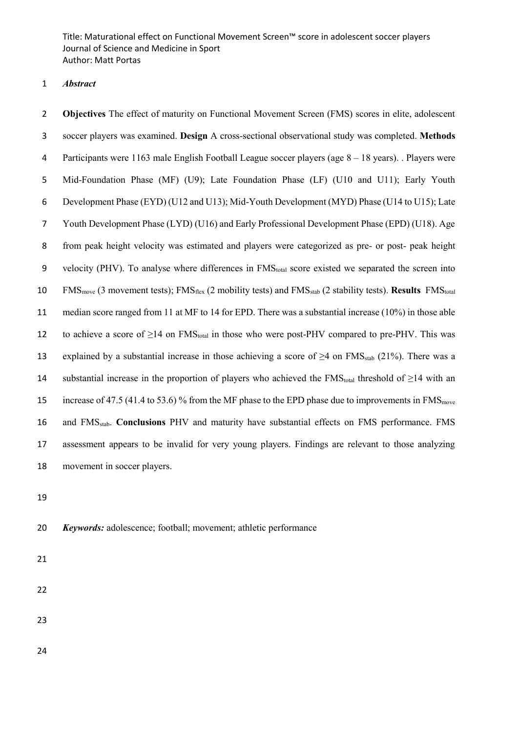Title: Maturational effect on Functional Movement Screen™ score in adolescent soccer players Journal of Science and Medicine in Sport Author: Matt Portas

### *Abstract*

 **Objectives** The effect of maturity on Functional Movement Screen (FMS) scores in elite, adolescent soccer players was examined. **Design** A cross-sectional observational study was completed. **Methods** Participants were 1163 male English Football League soccer players (age 8 – 18 years). . Players were Mid-Foundation Phase (MF) (U9); Late Foundation Phase (LF) (U10 and U11); Early Youth Development Phase (EYD) (U12 and U13); Mid-Youth Development (MYD) Phase (U14 to U15); Late Youth Development Phase (LYD) (U16) and Early Professional Development Phase (EPD) (U18). Age from peak height velocity was estimated and players were categorized as pre- or post- peak height 9 velocity (PHV). To analyse where differences in FMS<sub>total</sub> score existed we separated the screen into 10 FMS<sub>move</sub> (3 movement tests); FMS<sub>flex</sub> (2 mobility tests) and FMS<sub>stab</sub> (2 stability tests). **Results** FMS<sub>total</sub> median score ranged from 11 at MF to 14 for EPD. There was a substantial increase (10%) in those able 12 to achieve a score of  $\geq$ 14 on FMS<sub>total</sub> in those who were post-PHV compared to pre-PHV. This was 13 explained by a substantial increase in those achieving a score of  $\geq$ 4 on FMS<sub>stab</sub> (21%). There was a 14 substantial increase in the proportion of players who achieved the FMS<sub>total</sub> threshold of  $\geq$ 14 with an 15 increase of 47.5 (41.4 to 53.6) % from the MF phase to the EPD phase due to improvements in FMS<sub>move</sub> 16 and FMS<sub>stab</sub>. **Conclusions** PHV and maturity have substantial effects on FMS performance. FMS assessment appears to be invalid for very young players. Findings are relevant to those analyzing movement in soccer players.

*Keywords:* adolescence; football; movement; athletic performance

- 
-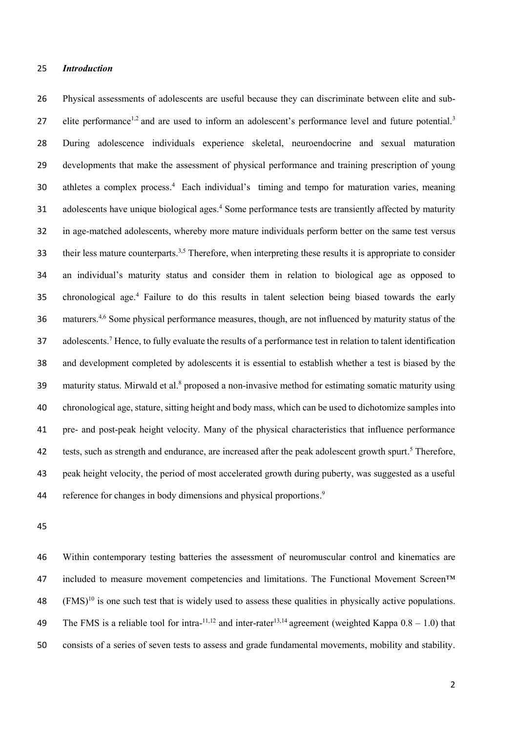#### 25 *Introduction*

26 Physical assessments of adolescents are useful because they can discriminate between elite and sub-27 elite performance<sup>1,2</sup> and are used to inform an adolescent's performance level and future potential.<sup>3</sup> 28 During adolescence individuals experience skeletal, neuroendocrine and sexual maturation 29 developments that make the assessment of physical performance and training prescription of young 30 athletes a complex process.<sup>4</sup> Each individual's timing and tempo for maturation varies, meaning 31 adolescents have unique biological ages.<sup>4</sup> Some performance tests are transiently affected by maturity 32 in age-matched adolescents, whereby more mature individuals perform better on the same test versus 33 their less mature counterparts.<sup>3,5</sup> Therefore, when interpreting these results it is appropriate to consider 34 an individual's maturity status and consider them in relation to biological age as opposed to 35 chronological age.<sup>4</sup> Failure to do this results in talent selection being biased towards the early 36 maturers.<sup>4,6</sup> Some physical performance measures, though, are not influenced by maturity status of the 37 adolescents.<sup>7</sup> Hence, to fully evaluate the results of a performance test in relation to talent identification 38 and development completed by adolescents it is essential to establish whether a test is biased by the 39 maturity status. Mirwald et al.<sup>8</sup> proposed a non-invasive method for estimating somatic maturity using 40 chronological age, stature, sitting height and body mass, which can be used to dichotomize samples into 41 pre- and post-peak height velocity. Many of the physical characteristics that influence performance 42 tests, such as strength and endurance, are increased after the peak adolescent growth spurt.<sup>5</sup> Therefore, 43 peak height velocity, the period of most accelerated growth during puberty, was suggested as a useful 44 reference for changes in body dimensions and physical proportions.<sup>9</sup>

45

46 Within contemporary testing batteries the assessment of neuromuscular control and kinematics are 47 included to measure movement competencies and limitations. The Functional Movement Screen™  $(3.48 \, \text{FMS})^{10}$  is one such test that is widely used to assess these qualities in physically active populations. 49 The FMS is a reliable tool for intra-<sup>11,12</sup> and inter-rater<sup>13,14</sup> agreement (weighted Kappa  $0.8 - 1.0$ ) that 50 consists of a series of seven tests to assess and grade fundamental movements, mobility and stability.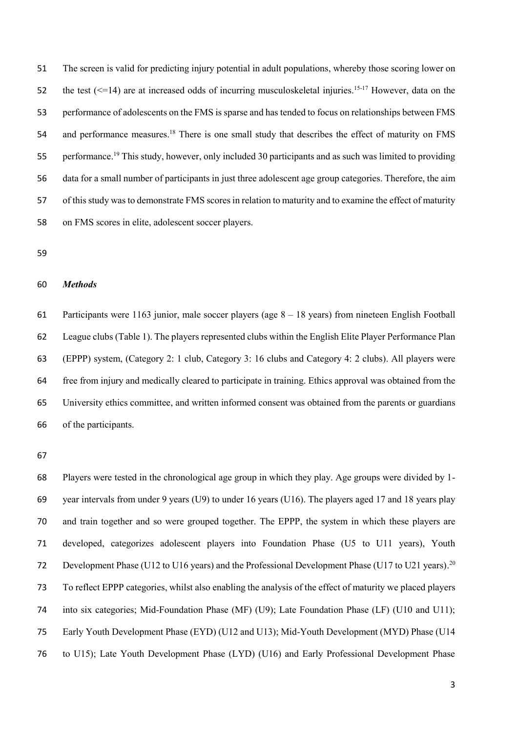The screen is valid for predicting injury potential in adult populations, whereby those scoring lower on 52 the test  $(\leq 14)$  are at increased odds of incurring musculoskeletal injuries.<sup>15-17</sup> However, data on the performance of adolescents on the FMS is sparse and has tended to focus on relationships between FMS 54 and performance measures.<sup>18</sup> There is one small study that describes the effect of maturity on FMS 55 performance.<sup>19</sup> This study, however, only included 30 participants and as such was limited to providing data for a small number of participants in just three adolescent age group categories. Therefore, the aim of this study was to demonstrate FMS scores in relation to maturity and to examine the effect of maturity on FMS scores in elite, adolescent soccer players.

### *Methods*

 Participants were 1163 junior, male soccer players (age 8 – 18 years) from nineteen English Football League clubs (Table 1). The players represented clubs within the English Elite Player Performance Plan (EPPP) system, (Category 2: 1 club, Category 3: 16 clubs and Category 4: 2 clubs). All players were free from injury and medically cleared to participate in training. Ethics approval was obtained from the University ethics committee, and written informed consent was obtained from the parents or guardians of the participants.

 Players were tested in the chronological age group in which they play. Age groups were divided by 1- year intervals from under 9 years (U9) to under 16 years (U16). The players aged 17 and 18 years play and train together and so were grouped together. The EPPP, the system in which these players are developed, categorizes adolescent players into Foundation Phase (U5 to U11 years), Youth 72 Development Phase (U12 to U16 years) and the Professional Development Phase (U17 to U21 years).<sup>20</sup> To reflect EPPP categories, whilst also enabling the analysis of the effect of maturity we placed players into six categories; Mid-Foundation Phase (MF) (U9); Late Foundation Phase (LF) (U10 and U11); Early Youth Development Phase (EYD) (U12 and U13); Mid-Youth Development (MYD) Phase (U14 to U15); Late Youth Development Phase (LYD) (U16) and Early Professional Development Phase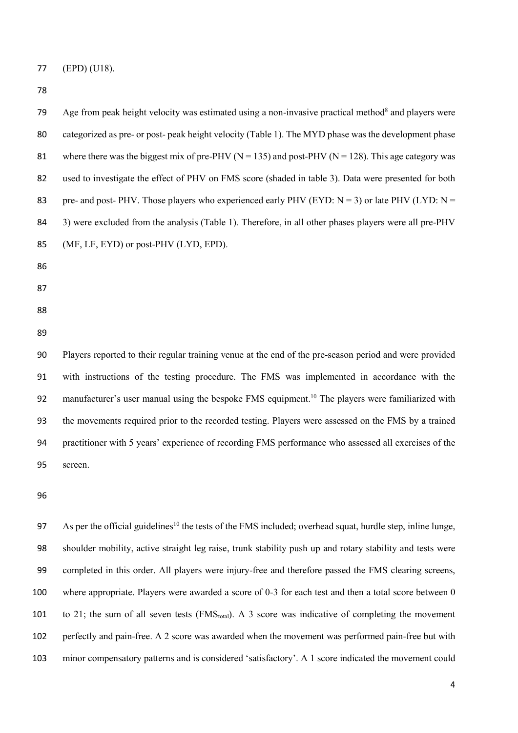(EPD) (U18).

Age from peak height velocity was estimated using a non-invasive practical method<sup>8</sup> and players were categorized as pre- or post- peak height velocity (Table 1). The MYD phase was the development phase 81 where there was the biggest mix of pre-PHV ( $N = 135$ ) and post-PHV ( $N = 128$ ). This age category was used to investigate the effect of PHV on FMS score (shaded in table 3). Data were presented for both 83 pre- and post- PHV. Those players who experienced early PHV (EYD:  $N = 3$ ) or late PHV (LYD:  $N =$  3) were excluded from the analysis (Table 1). Therefore, in all other phases players were all pre-PHV (MF, LF, EYD) or post-PHV (LYD, EPD). Players reported to their regular training venue at the end of the pre-season period and were provided with instructions of the testing procedure. The FMS was implemented in accordance with the 92 manufacturer's user manual using the bespoke FMS equipment.<sup>10</sup> The players were familiarized with the movements required prior to the recorded testing. Players were assessed on the FMS by a trained practitioner with 5 years' experience of recording FMS performance who assessed all exercises of the screen.

97 As per the official guidelines<sup>10</sup> the tests of the FMS included; overhead squat, hurdle step, inline lunge, shoulder mobility, active straight leg raise, trunk stability push up and rotary stability and tests were completed in this order. All players were injury-free and therefore passed the FMS clearing screens, where appropriate. Players were awarded a score of 0-3 for each test and then a total score between 0 101 to 21; the sum of all seven tests (FMS<sub>total</sub>). A 3 score was indicative of completing the movement perfectly and pain-free. A 2 score was awarded when the movement was performed pain-free but with minor compensatory patterns and is considered 'satisfactory'. A 1 score indicated the movement could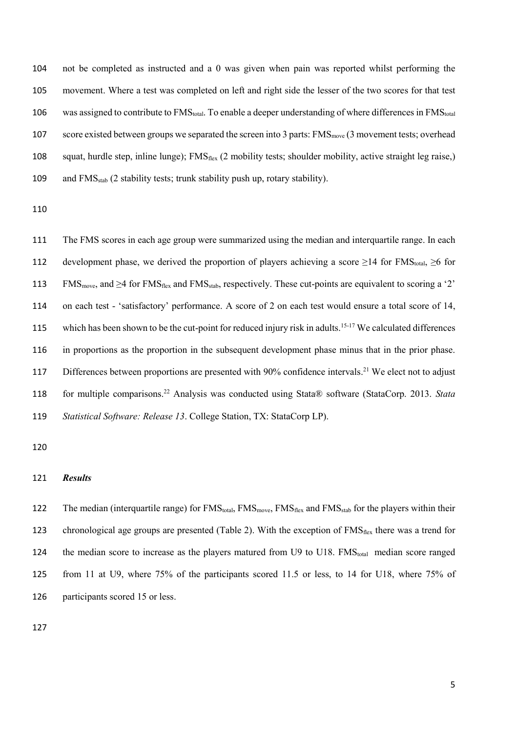104 not be completed as instructed and a 0 was given when pain was reported whilst performing the 105 movement. Where a test was completed on left and right side the lesser of the two scores for that test 106 was assigned to contribute to  $FMS<sub>total</sub>$ . To enable a deeper understanding of where differences in  $FMS<sub>total</sub>$ 107 score existed between groups we separated the screen into 3 parts: FMS<sub>move</sub> (3 movement tests; overhead 108 squat, hurdle step, inline lunge); FMS<sub>flex</sub> (2 mobility tests; shoulder mobility, active straight leg raise,) 109 and  $FMS_{stab}$  (2 stability tests; trunk stability push up, rotary stability).

110

111 The FMS scores in each age group were summarized using the median and interquartile range. In each 112 development phase, we derived the proportion of players achieving a score  $\geq$ 14 for FMS<sub>total</sub>,  $\geq$ 6 for 113 FMS<sub>move</sub>, and >4 for FMS<sub>flex</sub> and FMS<sub>stab</sub>, respectively. These cut-points are equivalent to scoring a '2' 114 on each test - 'satisfactory' performance. A score of 2 on each test would ensure a total score of 14, 115 which has been shown to be the cut-point for reduced injury risk in adults.  $15-17$  We calculated differences 116 in proportions as the proportion in the subsequent development phase minus that in the prior phase. 117 Differences between proportions are presented with 90% confidence intervals.<sup>21</sup> We elect not to adjust for multiple comparisons. 118 <sup>22</sup> Analysis was conducted using Stata® software (StataCorp. 2013. *Stata*  119 *Statistical Software: Release 13*. College Station, TX: StataCorp LP).

120

#### 121 *Results*

122 The median (interquartile range) for FMS<sub>total</sub>, FMS<sub>move</sub>, FMS<sub>flex</sub> and FMS<sub>stab</sub> for the players within their 123 chronological age groups are presented (Table 2). With the exception of  $FMS<sub>flex</sub>$  there was a trend for 124 the median score to increase as the players matured from U9 to U18. FMS<sub>total</sub> median score ranged 125 from 11 at U9, where 75% of the participants scored 11.5 or less, to 14 for U18, where 75% of 126 participants scored 15 or less.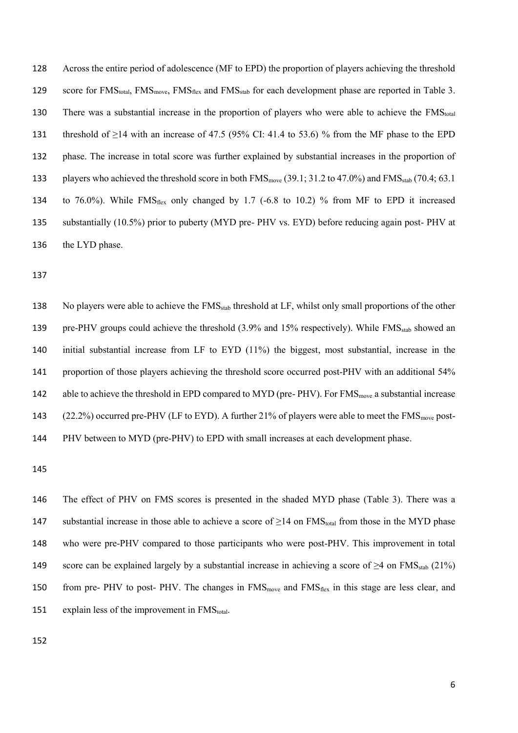128 Across the entire period of adolescence (MF to EPD) the proportion of players achieving the threshold 129 score for FMS<sub>total</sub>, FMS<sub>move</sub>, FMS<sub>flex</sub> and FMS<sub>stab</sub> for each development phase are reported in Table 3. 130 There was a substantial increase in the proportion of players who were able to achieve the FMStotal 131 threshold of ≥14 with an increase of 47.5 (95% CI: 41.4 to 53.6) % from the MF phase to the EPD 132 phase. The increase in total score was further explained by substantial increases in the proportion of 133 players who achieved the threshold score in both  $FMS<sub>move</sub>$  (39.1; 31.2 to 47.0%) and  $FMS<sub>stab</sub>$  (70.4; 63.1 134 to 76.0%). While FMS<sub>flex</sub> only changed by 1.7 (-6.8 to 10.2) % from MF to EPD it increased 135 substantially (10.5%) prior to puberty (MYD pre- PHV vs. EYD) before reducing again post- PHV at 136 the LYD phase.

137

138 No players were able to achieve the FMS<sub>stab</sub> threshold at LF, whilst only small proportions of the other 139 pre-PHV groups could achieve the threshold (3.9% and 15% respectively). While FMS<sub>stab</sub> showed an 140 initial substantial increase from LF to EYD (11%) the biggest, most substantial, increase in the 141 proportion of those players achieving the threshold score occurred post-PHV with an additional 54% 142 able to achieve the threshold in EPD compared to MYD (pre- PHV). For FMS<sub>move</sub> a substantial increase 143 (22.2%) occurred pre-PHV (LF to EYD). A further 21% of players were able to meet the FMS<sub>move</sub> post-144 PHV between to MYD (pre-PHV) to EPD with small increases at each development phase.

145

146 The effect of PHV on FMS scores is presented in the shaded MYD phase (Table 3). There was a 147 substantial increase in those able to achieve a score of  $\geq$ 14 on FMS<sub>total</sub> from those in the MYD phase 148 who were pre-PHV compared to those participants who were post-PHV. This improvement in total 149 score can be explained largely by a substantial increase in achieving a score of  $\geq$ 4 on FMS<sub>stab</sub> (21%) 150 from pre- PHV to post- PHV. The changes in  $FMS<sub>move</sub>$  and  $FMS<sub>flex</sub>$  in this stage are less clear, and 151 explain less of the improvement in  $FMS<sub>total</sub>$ .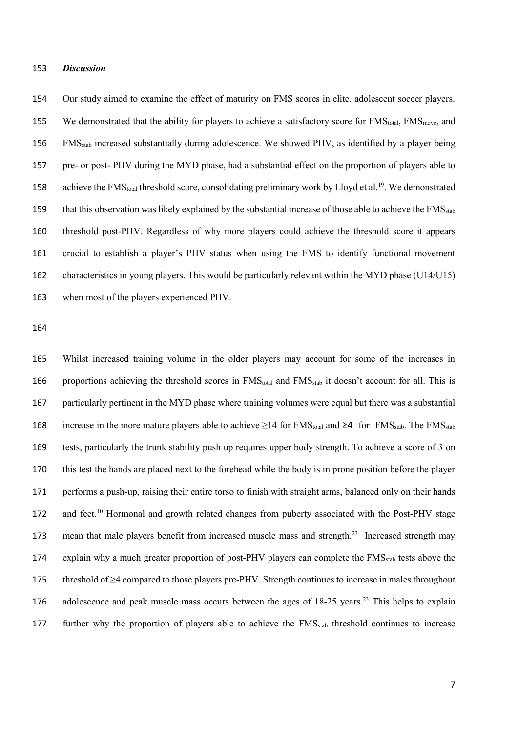#### *Discussion*

 Our study aimed to examine the effect of maturity on FMS scores in elite, adolescent soccer players. 155 We demonstrated that the ability for players to achieve a satisfactory score for  $FMS<sub>total</sub>$ ,  $FMS<sub>move</sub>$ , and FMSstab increased substantially during adolescence. We showed PHV, as identified by a player being pre- or post- PHV during the MYD phase, had a substantial effect on the proportion of players able to 158 achieve the FMS<sub>total</sub> threshold score, consolidating preliminary work by Lloyd et al.<sup>19</sup>. We demonstrated 159 that this observation was likely explained by the substantial increase of those able to achieve the  $FMS_{stab}$  threshold post-PHV. Regardless of why more players could achieve the threshold score it appears crucial to establish a player's PHV status when using the FMS to identify functional movement characteristics in young players. This would be particularly relevant within the MYD phase (U14/U15) when most of the players experienced PHV.

 Whilst increased training volume in the older players may account for some of the increases in 166 proportions achieving the threshold scores in FMS<sub>total</sub> and FMS<sub>stab</sub> it doesn't account for all. This is particularly pertinent in the MYD phase where training volumes were equal but there was a substantial 168 increase in the more mature players able to achieve  $\geq 14$  for FMS<sub>total</sub> and  $\geq 4$  for FMS<sub>stab</sub>. The FMS<sub>stab</sub> tests, particularly the trunk stability push up requires upper body strength. To achieve a score of 3 on this test the hands are placed next to the forehead while the body is in prone position before the player performs a push-up, raising their entire torso to finish with straight arms, balanced only on their hands 172 and feet.<sup>10</sup> Hormonal and growth related changes from puberty associated with the Post-PHV stage 173 mean that male players benefit from increased muscle mass and strength.<sup>23</sup> Increased strength may 174 explain why a much greater proportion of post-PHV players can complete the FMS<sub>stab</sub> tests above the threshold of ≥4 compared to those players pre-PHV. Strength continues to increase in males throughout 176 adolescence and peak muscle mass occurs between the ages of 18-25 years.<sup>23</sup> This helps to explain 177 further why the proportion of players able to achieve the FMS<sub>stab</sub> threshold continues to increase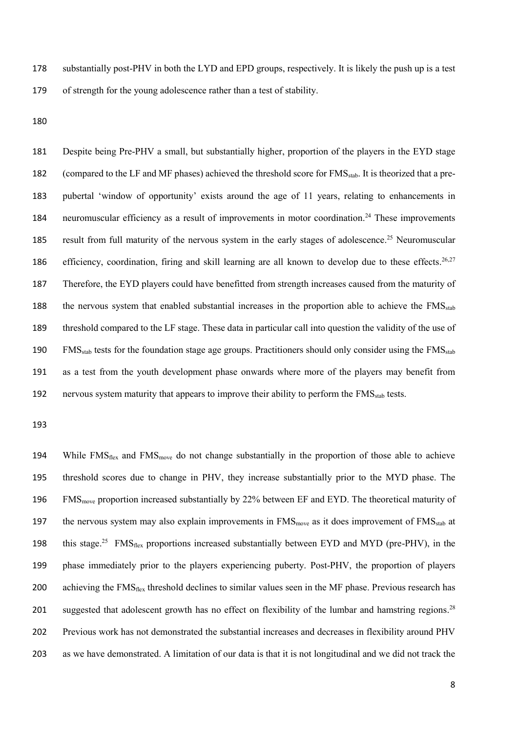178 substantially post-PHV in both the LYD and EPD groups, respectively. It is likely the push up is a test 179 of strength for the young adolescence rather than a test of stability.

180

181 Despite being Pre-PHV a small, but substantially higher, proportion of the players in the EYD stage 182 (compared to the LF and MF phases) achieved the threshold score for FMS<sub>stab</sub>. It is theorized that a pre-183 pubertal 'window of opportunity' exists around the age of 11 years, relating to enhancements in 184 neuromuscular efficiency as a result of improvements in motor coordination.<sup>24</sup> These improvements 185 result from full maturity of the nervous system in the early stages of adolescence.<sup>25</sup> Neuromuscular 186 efficiency, coordination, firing and skill learning are all known to develop due to these effects.<sup>26,27</sup> 187 Therefore, the EYD players could have benefitted from strength increases caused from the maturity of 188 the nervous system that enabled substantial increases in the proportion able to achieve the FMS<sub>stab</sub> 189 threshold compared to the LF stage. These data in particular call into question the validity of the use of 190 FMS<sub>stab</sub> tests for the foundation stage age groups. Practitioners should only consider using the FMS<sub>stab</sub> 191 as a test from the youth development phase onwards where more of the players may benefit from 192 nervous system maturity that appears to improve their ability to perform the FMS<sub>stab</sub> tests.

193

194 While  $FMS<sub>flex</sub>$  and  $FMS<sub>move</sub>$  do not change substantially in the proportion of those able to achieve 195 threshold scores due to change in PHV, they increase substantially prior to the MYD phase. The 196 FMS<sub>move</sub> proportion increased substantially by 22% between EF and EYD. The theoretical maturity of 197 the nervous system may also explain improvements in  $FMS<sub>move</sub>$  as it does improvement of  $FMS<sub>stab</sub>$  at 198 this stage.<sup>25</sup> FMS<sub>flex</sub> proportions increased substantially between EYD and MYD (pre-PHV), in the 199 phase immediately prior to the players experiencing puberty. Post-PHV, the proportion of players 200 achieving the FMS<sub>flex</sub> threshold declines to similar values seen in the MF phase. Previous research has 201 suggested that adolescent growth has no effect on flexibility of the lumbar and hamstring regions.<sup>28</sup> 202 Previous work has not demonstrated the substantial increases and decreases in flexibility around PHV 203 as we have demonstrated. A limitation of our data is that it is not longitudinal and we did not track the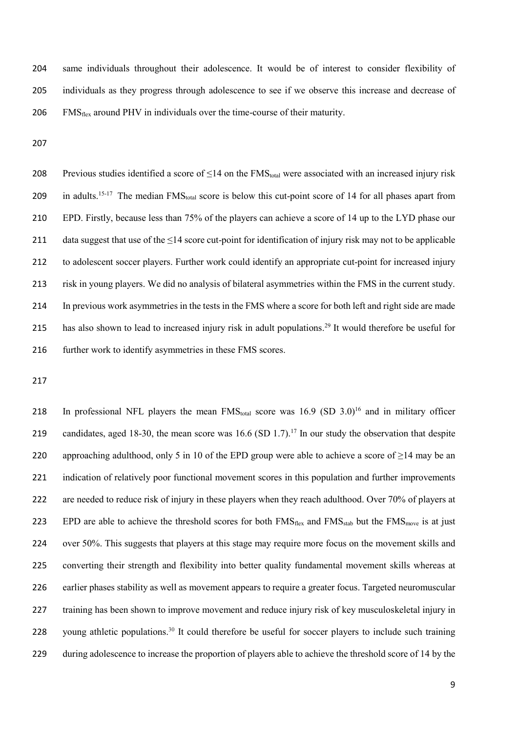204 same individuals throughout their adolescence. It would be of interest to consider flexibility of 205 individuals as they progress through adolescence to see if we observe this increase and decrease of  $206$  FMS $_{\text{flex}}$  around PHV in individuals over the time-course of their maturity.

207

208 Previous studies identified a score of  $\leq 14$  on the FMS<sub>total</sub> were associated with an increased injury risk 209 in adults.<sup>15-17</sup> The median  $FMS<sub>total</sub>$  score is below this cut-point score of 14 for all phases apart from 210 EPD. Firstly, because less than 75% of the players can achieve a score of 14 up to the LYD phase our 211 data suggest that use of the  $\leq$ 14 score cut-point for identification of injury risk may not to be applicable 212 to adolescent soccer players. Further work could identify an appropriate cut-point for increased injury 213 risk in young players. We did no analysis of bilateral asymmetries within the FMS in the current study. 214 In previous work asymmetries in the tests in the FMS where a score for both left and right side are made 215 has also shown to lead to increased injury risk in adult populations.<sup>29</sup> It would therefore be useful for 216 further work to identify asymmetries in these FMS scores.

217

218 In professional NFL players the mean  $FMS<sub>total</sub>$  score was 16.9 (SD 3.0)<sup>16</sup> and in military officer 219 candidates, aged 18-30, the mean score was  $16.6$  (SD 1.7).<sup>17</sup> In our study the observation that despite 220 approaching adulthood, only 5 in 10 of the EPD group were able to achieve a score of  $\geq$ 14 may be an 221 indication of relatively poor functional movement scores in this population and further improvements 222 are needed to reduce risk of injury in these players when they reach adulthood. Over 70% of players at 223 EPD are able to achieve the threshold scores for both FMS<sub>flex</sub> and FMS<sub>stab</sub> but the FMS<sub>move</sub> is at just 224 over 50%. This suggests that players at this stage may require more focus on the movement skills and 225 converting their strength and flexibility into better quality fundamental movement skills whereas at 226 earlier phases stability as well as movement appears to require a greater focus. Targeted neuromuscular 227 training has been shown to improve movement and reduce injury risk of key musculoskeletal injury in 228 young athletic populations.<sup>30</sup> It could therefore be useful for soccer players to include such training 229 during adolescence to increase the proportion of players able to achieve the threshold score of 14 by the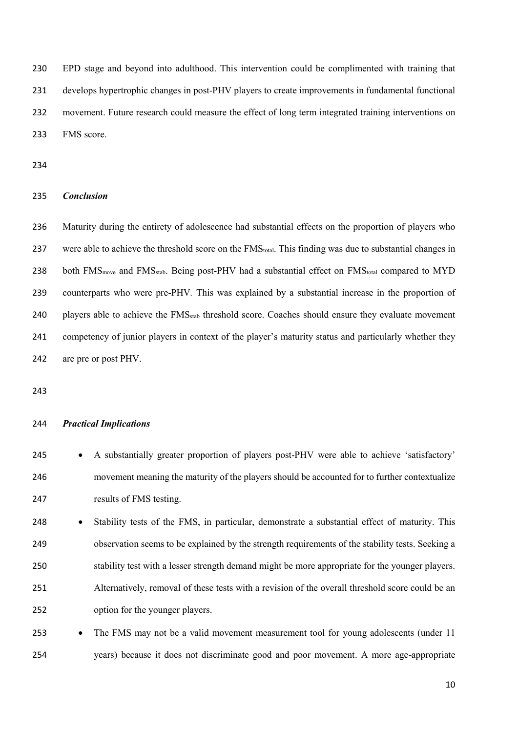EPD stage and beyond into adulthood. This intervention could be complimented with training that develops hypertrophic changes in post-PHV players to create improvements in fundamental functional movement. Future research could measure the effect of long term integrated training interventions on FMS score.

### *Conclusion*

 Maturity during the entirety of adolescence had substantial effects on the proportion of players who 237 were able to achieve the threshold score on the FMS<sub>total</sub>. This finding was due to substantial changes in 238 both FMS<sub>move</sub> and FMS<sub>stab</sub>. Being post-PHV had a substantial effect on FMS<sub>total</sub> compared to MYD counterparts who were pre-PHV*.* This was explained by a substantial increase in the proportion of 240 players able to achieve the FMS<sub>stab</sub> threshold score. Coaches should ensure they evaluate movement competency of junior players in context of the player's maturity status and particularly whether they are pre or post PHV.

### *Practical Implications*

- 245 A substantially greater proportion of players post-PHV were able to achieve 'satisfactory' movement meaning the maturity of the players should be accounted for to further contextualize results of FMS testing.
- 248 Stability tests of the FMS, in particular, demonstrate a substantial effect of maturity. This observation seems to be explained by the strength requirements of the stability tests. Seeking a stability test with a lesser strength demand might be more appropriate for the younger players. Alternatively, removal of these tests with a revision of the overall threshold score could be an option for the younger players.
- 253 The FMS may not be a valid movement measurement tool for young adolescents (under 11 years) because it does not discriminate good and poor movement. A more age-appropriate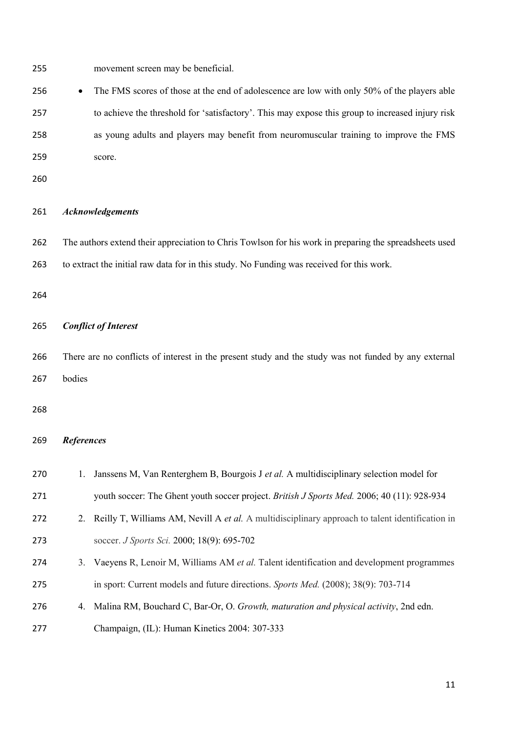movement screen may be beneficial.

256 • The FMS scores of those at the end of adolescence are low with only 50% of the players able to achieve the threshold for 'satisfactory'. This may expose this group to increased injury risk as young adults and players may benefit from neuromuscular training to improve the FMS score.

# *Acknowledgements*

 The authors extend their appreciation to Chris Towlson for his work in preparing the spreadsheets used to extract the initial raw data for in this study. No Funding was received for this work.

# *Conflict of Interest*

 There are no conflicts of interest in the present study and the study was not funded by any external bodies

# *References*

| 270 |    | Janssens M, Van Renterghem B, Bourgois J et al. A multidisciplinary selection model for            |
|-----|----|----------------------------------------------------------------------------------------------------|
| 271 |    | youth soccer: The Ghent youth soccer project. British J Sports Med. 2006; 40 (11): 928-934         |
| 272 |    | 2. Reilly T, Williams AM, Nevill A et al. A multidisciplinary approach to talent identification in |
| 273 |    | soccer. J Sports Sci. 2000; 18(9): 695-702                                                         |
| 274 | 3. | Vaeyens R, Lenoir M, Williams AM et al. Talent identification and development programmes           |
| 275 |    | in sport: Current models and future directions. Sports Med. (2008); 38(9): 703-714                 |
| 276 | 4. | Malina RM, Bouchard C, Bar-Or, O. Growth, maturation and physical activity, 2nd edn.               |
|     |    |                                                                                                    |

Champaign, (IL): Human Kinetics 2004: 307-333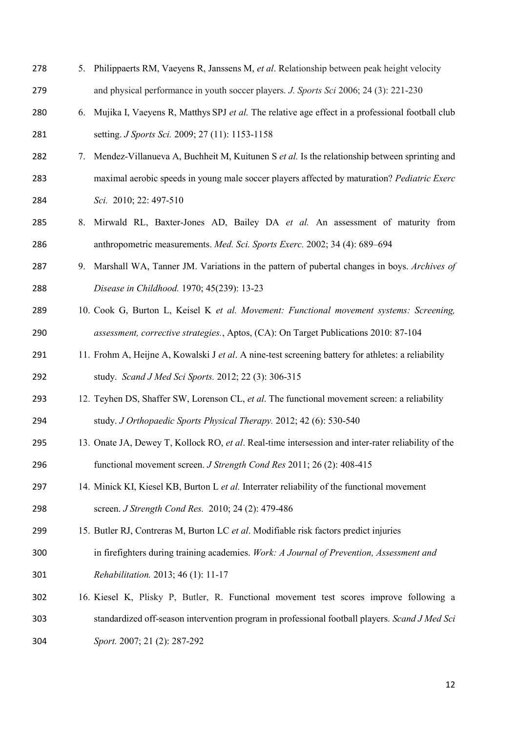| 278 | 5. | Philippaerts RM, Vaeyens R, Janssens M, et al. Relationship between peak height velocity            |
|-----|----|-----------------------------------------------------------------------------------------------------|
| 279 |    | and physical performance in youth soccer players. J. Sports Sci 2006; 24 (3): 221-230               |
| 280 | 6. | Mujika I, Vaeyens R, Matthys SPJ et al. The relative age effect in a professional football club     |
| 281 |    | setting. J Sports Sci. 2009; 27 (11): 1153-1158                                                     |
| 282 | 7. | Mendez-Villanueva A, Buchheit M, Kuitunen S et al. Is the relationship between sprinting and        |
| 283 |    | maximal aerobic speeds in young male soccer players affected by maturation? Pediatric Exerc         |
| 284 |    | Sci. 2010; 22: 497-510                                                                              |
| 285 | 8. | Mirwald RL, Baxter-Jones AD, Bailey DA et al. An assessment of maturity from                        |
| 286 |    | anthropometric measurements. Med. Sci. Sports Exerc. 2002; 34 (4): 689-694                          |
| 287 | 9. | Marshall WA, Tanner JM. Variations in the pattern of pubertal changes in boys. Archives of          |
| 288 |    | Disease in Childhood. 1970; 45(239): 13-23                                                          |
| 289 |    | 10. Cook G, Burton L, Keisel K et al. Movement: Functional movement systems: Screening,             |
| 290 |    | assessment, corrective strategies., Aptos, (CA): On Target Publications 2010: 87-104                |
| 291 |    | 11. Frohm A, Heijne A, Kowalski J et al. A nine-test screening battery for athletes: a reliability  |
| 292 |    | study. Scand J Med Sci Sports. 2012; 22 (3): 306-315                                                |
| 293 |    | 12. Teyhen DS, Shaffer SW, Lorenson CL, et al. The functional movement screen: a reliability        |
| 294 |    | study. J Orthopaedic Sports Physical Therapy. 2012; 42 (6): 530-540                                 |
| 295 |    | 13. Onate JA, Dewey T, Kollock RO, et al. Real-time intersession and inter-rater reliability of the |
| 296 |    | functional movement screen. <i>J Strength Cond Res</i> 2011; 26 (2): 408-415                        |
| 297 |    | 14. Minick KI, Kiesel KB, Burton L et al. Interrater reliability of the functional movement         |
| 298 |    | screen. J Strength Cond Res. 2010; 24 (2): 479-486                                                  |
| 299 |    | 15. Butler RJ, Contreras M, Burton LC et al. Modifiable risk factors predict injuries               |
| 300 |    | in firefighters during training academies. Work: A Journal of Prevention, Assessment and            |
| 301 |    | <i>Rehabilitation.</i> 2013; 46 (1): 11-17                                                          |
| 302 |    | 16. Kiesel K, Plisky P, Butler, R. Functional movement test scores improve following a              |
| 303 |    | standardized off-season intervention program in professional football players. Scand J Med Sci      |
| 304 |    | Sport. 2007; 21 (2): 287-292                                                                        |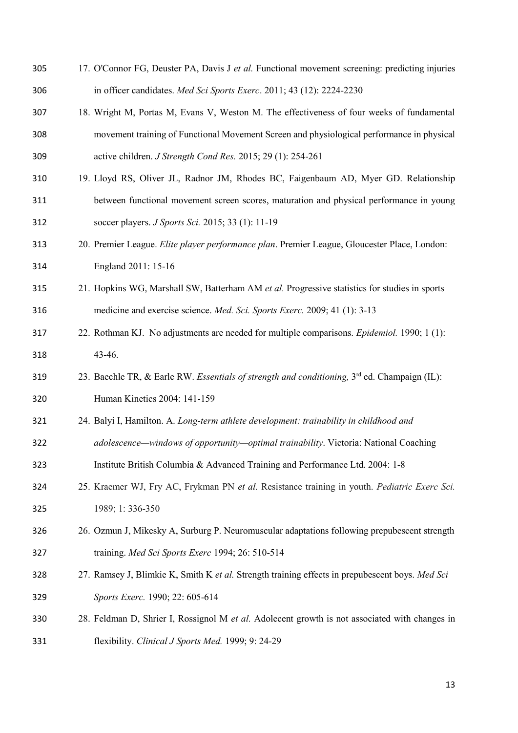| 305 | 17. O'Connor FG, Deuster PA, Davis J et al. Functional movement screening: predicting injuries           |
|-----|----------------------------------------------------------------------------------------------------------|
| 306 | in officer candidates. Med Sci Sports Exerc. 2011; 43 (12): 2224-2230                                    |
| 307 | 18. Wright M, Portas M, Evans V, Weston M. The effectiveness of four weeks of fundamental                |
| 308 | movement training of Functional Movement Screen and physiological performance in physical                |
| 309 | active children. J Strength Cond Res. 2015; 29 (1): 254-261                                              |
| 310 | 19. Lloyd RS, Oliver JL, Radnor JM, Rhodes BC, Faigenbaum AD, Myer GD. Relationship                      |
| 311 | between functional movement screen scores, maturation and physical performance in young                  |
| 312 | soccer players. J Sports Sci. 2015; 33 (1): 11-19                                                        |
| 313 | 20. Premier League. Elite player performance plan. Premier League, Gloucester Place, London:             |
| 314 | England 2011: 15-16                                                                                      |
| 315 | 21. Hopkins WG, Marshall SW, Batterham AM et al. Progressive statistics for studies in sports            |
| 316 | medicine and exercise science. Med. Sci. Sports Exerc. 2009; 41 (1): 3-13                                |
| 317 | 22. Rothman KJ. No adjustments are needed for multiple comparisons. <i>Epidemiol</i> . 1990; 1 (1):      |
| 318 | 43-46.                                                                                                   |
| 319 | 23. Baechle TR, & Earle RW. Essentials of strength and conditioning, 3 <sup>rd</sup> ed. Champaign (IL): |
| 320 | Human Kinetics 2004: 141-159                                                                             |
| 321 | 24. Balyi I, Hamilton. A. Long-term athlete development: trainability in childhood and                   |
| 322 | adolescence—windows of opportunity—optimal trainability. Victoria: National Coaching                     |
| 323 | Institute British Columbia & Advanced Training and Performance Ltd. 2004: 1-8                            |
| 324 | 25. Kraemer WJ, Fry AC, Frykman PN et al. Resistance training in youth. Pediatric Exerc Sci.             |
| 325 | 1989; 1:336-350                                                                                          |
| 326 | 26. Ozmun J, Mikesky A, Surburg P. Neuromuscular adaptations following prepubescent strength             |
| 327 | training. Med Sci Sports Exerc 1994; 26: 510-514                                                         |
| 328 | 27. Ramsey J, Blimkie K, Smith K et al. Strength training effects in prepubescent boys. Med Sci          |
| 329 | Sports Exerc. 1990; 22: 605-614                                                                          |
| 330 | 28. Feldman D, Shrier I, Rossignol M et al. Adolecent growth is not associated with changes in           |
| 331 | flexibility. Clinical J Sports Med. 1999; 9: 24-29                                                       |
|     |                                                                                                          |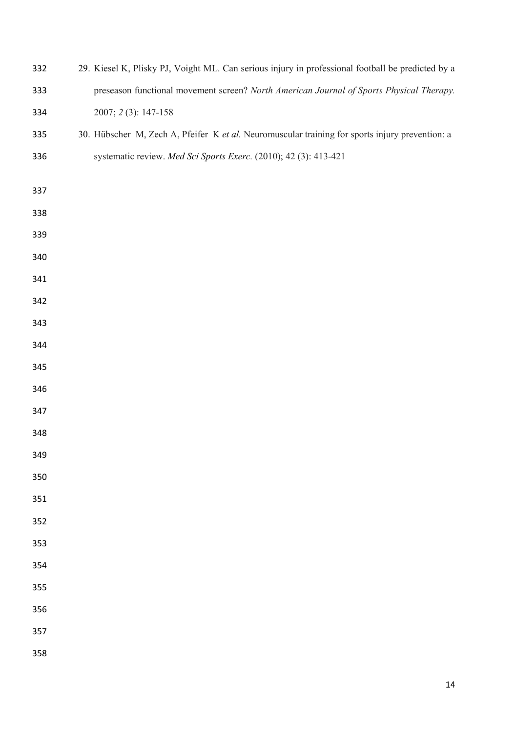| 332 | 29. Kiesel K, Plisky PJ, Voight ML. Can serious injury in professional football be predicted by a |
|-----|---------------------------------------------------------------------------------------------------|
| 333 | preseason functional movement screen? North American Journal of Sports Physical Therapy.          |
| 334 | 2007; 2(3): 147-158                                                                               |
| 335 | 30. Hübscher M, Zech A, Pfeifer K et al. Neuromuscular training for sports injury prevention: a   |
| 336 | systematic review. Med Sci Sports Exerc. (2010); 42 (3): 413-421                                  |
|     |                                                                                                   |
| 337 |                                                                                                   |
| 338 |                                                                                                   |
| 339 |                                                                                                   |
| 340 |                                                                                                   |
| 341 |                                                                                                   |
| 342 |                                                                                                   |
| 343 |                                                                                                   |
| 344 |                                                                                                   |
| 345 |                                                                                                   |
| 346 |                                                                                                   |
| 347 |                                                                                                   |
| 348 |                                                                                                   |
| 349 |                                                                                                   |
| 350 |                                                                                                   |
| 351 |                                                                                                   |
| 352 |                                                                                                   |
| 353 |                                                                                                   |
| 354 |                                                                                                   |
| 355 |                                                                                                   |
| 356 |                                                                                                   |
| 357 |                                                                                                   |
| 358 |                                                                                                   |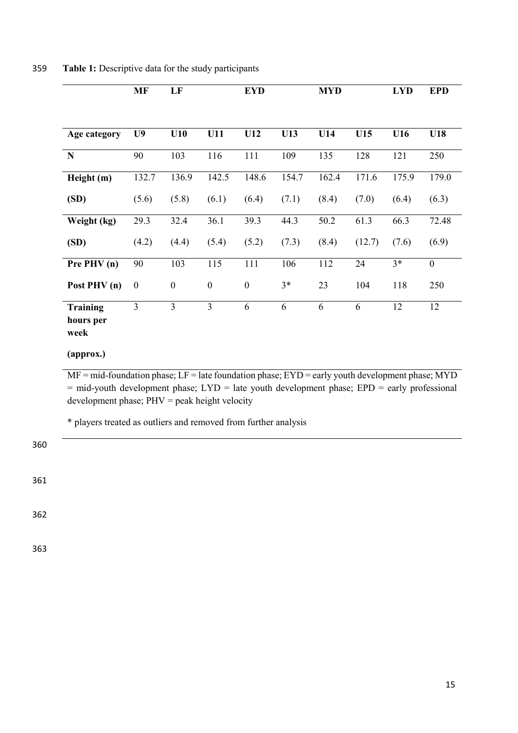|                                      | <b>MF</b>        | LF               |                  | <b>EYD</b>       |       | <b>MYD</b> |        | <b>LYD</b> | <b>EPD</b>   |
|--------------------------------------|------------------|------------------|------------------|------------------|-------|------------|--------|------------|--------------|
| Age category                         | U <sub>9</sub>   | U10              | U11              | U12              | U13   | U14        | U15    | U16        | U18          |
|                                      |                  |                  |                  |                  |       |            |        |            |              |
| N                                    | 90               | 103              | 116              | 111              | 109   | 135        | 128    | 121        | 250          |
| Height (m)                           | 132.7            | 136.9            | 142.5            | 148.6            | 154.7 | 162.4      | 171.6  | 175.9      | 179.0        |
| (SD)                                 | (5.6)            | (5.8)            | (6.1)            | (6.4)            | (7.1) | (8.4)      | (7.0)  | (6.4)      | (6.3)        |
| Weight (kg)                          | 29.3             | 32.4             | 36.1             | 39.3             | 44.3  | 50.2       | 61.3   | 66.3       | 72.48        |
| (SD)                                 | (4.2)            | (4.4)            | (5.4)            | (5.2)            | (7.3) | (8.4)      | (12.7) | (7.6)      | (6.9)        |
| Pre PHV (n)                          | 90               | 103              | 115              | 111              | 106   | 112        | 24     | $3*$       | $\mathbf{0}$ |
| Post PHV (n)                         | $\boldsymbol{0}$ | $\boldsymbol{0}$ | $\boldsymbol{0}$ | $\boldsymbol{0}$ | $3*$  | 23         | 104    | 118        | 250          |
| <b>Training</b><br>hours per<br>week | $\overline{3}$   | $\overline{3}$   | 3                | 6                | 6     | 6          | 6      | 12         | 12           |

359 **Table 1:** Descriptive data for the study participants

**(approx.)**

 $MF = mid$ -foundation phase;  $LF =$  late foundation phase;  $EYD =$  early youth development phase; MYD = mid-youth development phase; LYD = late youth development phase; EPD = early professional development phase; PHV = peak height velocity

\* players treated as outliers and removed from further analysis

360 361 362

363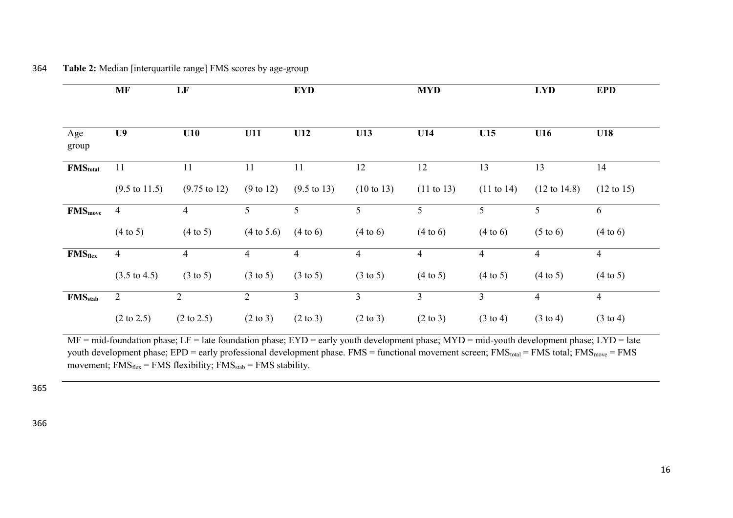| 364 |  |  |  | <b>Table 2:</b> Median [interquartile range] FMS scores by age-group |
|-----|--|--|--|----------------------------------------------------------------------|
|-----|--|--|--|----------------------------------------------------------------------|

|                      | <b>MF</b>                | LF                      |                       | <b>EYD</b>             |                       | <b>MYD</b>            |                       | <b>LYD</b>              | <b>EPD</b>            |
|----------------------|--------------------------|-------------------------|-----------------------|------------------------|-----------------------|-----------------------|-----------------------|-------------------------|-----------------------|
|                      |                          |                         |                       |                        |                       |                       |                       |                         |                       |
| Age<br>group         | U <sub>9</sub>           | U10                     | U11                   | U12                    | U13                   | U14                   | U15                   | U16                     | U18                   |
| FMS <sub>total</sub> | 11                       | 11                      | 11                    | 11                     | 12                    | 12                    | 13                    | 13                      | 14                    |
|                      | $(9.5 \text{ to } 11.5)$ | $(9.75 \text{ to } 12)$ | $(9 \text{ to } 12)$  | $(9.5 \text{ to } 13)$ | $(10 \text{ to } 13)$ | $(11 \text{ to } 13)$ | $(11 \text{ to } 14)$ | $(12 \text{ to } 14.8)$ | $(12 \text{ to } 15)$ |
| FMS <sub>move</sub>  | $\overline{4}$           | $\overline{4}$          | 5                     | 5                      | 5                     | 5                     | 5                     | 5                       | 6                     |
|                      | $(4 \text{ to } 5)$      | $(4 \text{ to } 5)$     | $(4 \text{ to } 5.6)$ | (4 to 6)               | (4 to 6)              | (4 to 6)              | (4 to 6)              | $(5 \text{ to } 6)$     | (4 to 6)              |
| <b>FMSflex</b>       | $\overline{4}$           | $\overline{4}$          | 4                     | 4                      | 4                     | $\overline{4}$        | $\overline{4}$        | 4                       | $\overline{4}$        |
|                      | $(3.5 \text{ to } 4.5)$  | $(3 \text{ to } 5)$     | $(3 \text{ to } 5)$   | $(3 \text{ to } 5)$    | $(3 \text{ to } 5)$   | $(4 \text{ to } 5)$   | $(4 \text{ to } 5)$   | $(4 \text{ to } 5)$     | $(4 \text{ to } 5)$   |
| $FMS_{stab}$         | $\overline{2}$           | 2                       | $\overline{2}$        | $\mathfrak{Z}$         | $\overline{3}$        | $\overline{3}$        | $\overline{3}$        | $\overline{4}$          | $\overline{4}$        |
|                      | $(2 \text{ to } 2.5)$    | $(2 \text{ to } 2.5)$   | $(2 \text{ to } 3)$   | $(2 \text{ to } 3)$    | $(2 \text{ to } 3)$   | $(2 \text{ to } 3)$   | $(3 \text{ to } 4)$   | $(3 \text{ to } 4)$     | $(3 \text{ to } 4)$   |

MF = mid-foundation phase; LF = late foundation phase; EYD = early youth development phase; MYD = mid-youth development phase; LYD = late youth development phase; EPD = early professional development phase. FMS = functional movement screen; FMS<sub>total</sub> = FMS total; FMS<sub>move</sub> = FMS movement;  $FMS<sub>flex</sub> = FMS$  flexibility;  $FMS<sub>stab</sub> = FMS$  stability.